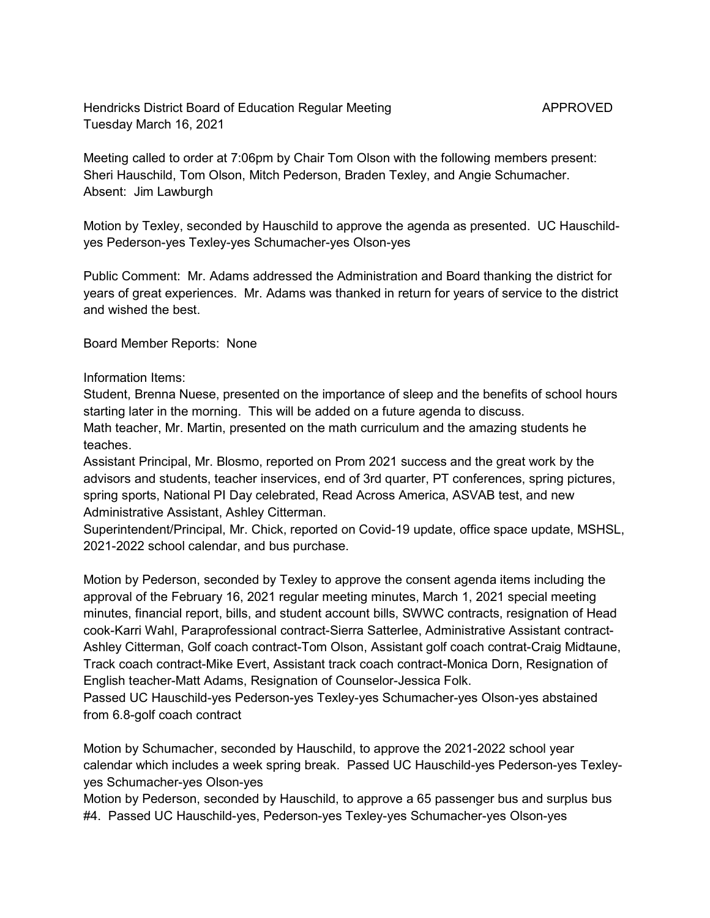Hendricks District Board of Education Regular Meeting Meeting APPROVED Tuesday March 16, 2021

Meeting called to order at 7:06pm by Chair Tom Olson with the following members present: Sheri Hauschild, Tom Olson, Mitch Pederson, Braden Texley, and Angie Schumacher. Absent: Jim Lawburgh

Motion by Texley, seconded by Hauschild to approve the agenda as presented. UC Hauschildyes Pederson-yes Texley-yes Schumacher-yes Olson-yes

Public Comment: Mr. Adams addressed the Administration and Board thanking the district for years of great experiences. Mr. Adams was thanked in return for years of service to the district and wished the best.

Board Member Reports: None

Information Items:

Student, Brenna Nuese, presented on the importance of sleep and the benefits of school hours starting later in the morning. This will be added on a future agenda to discuss. Math teacher, Mr. Martin, presented on the math curriculum and the amazing students he teaches.

Assistant Principal, Mr. Blosmo, reported on Prom 2021 success and the great work by the advisors and students, teacher inservices, end of 3rd quarter, PT conferences, spring pictures, spring sports, National PI Day celebrated, Read Across America, ASVAB test, and new Administrative Assistant, Ashley Citterman.

Superintendent/Principal, Mr. Chick, reported on Covid-19 update, office space update, MSHSL, 2021-2022 school calendar, and bus purchase.

Motion by Pederson, seconded by Texley to approve the consent agenda items including the approval of the February 16, 2021 regular meeting minutes, March 1, 2021 special meeting minutes, financial report, bills, and student account bills, SWWC contracts, resignation of Head cook-Karri Wahl, Paraprofessional contract-Sierra Satterlee, Administrative Assistant contract-Ashley Citterman, Golf coach contract-Tom Olson, Assistant golf coach contrat-Craig Midtaune, Track coach contract-Mike Evert, Assistant track coach contract-Monica Dorn, Resignation of English teacher-Matt Adams, Resignation of Counselor-Jessica Folk.

Passed UC Hauschild-yes Pederson-yes Texley-yes Schumacher-yes Olson-yes abstained from 6.8-golf coach contract

Motion by Schumacher, seconded by Hauschild, to approve the 2021-2022 school year calendar which includes a week spring break. Passed UC Hauschild-yes Pederson-yes Texleyyes Schumacher-yes Olson-yes

Motion by Pederson, seconded by Hauschild, to approve a 65 passenger bus and surplus bus #4. Passed UC Hauschild-yes, Pederson-yes Texley-yes Schumacher-yes Olson-yes